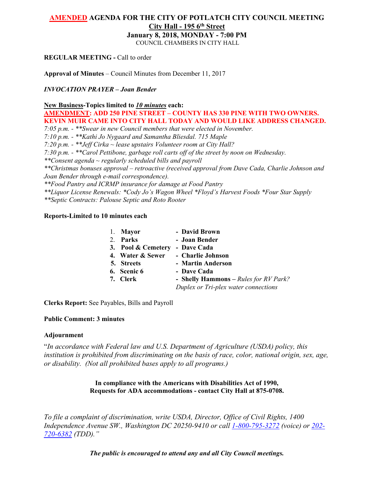# **AMENDED AGENDA FOR THE CITY OF POTLATCH CITY COUNCIL MEETING City Hall - 195 6th Street**

**January 8, 2018, MONDAY - 7:00 PM**

COUNCIL CHAMBERS IN CITY HALL

# **REGULAR MEETING -** Call to order

**Approval of Minutes** – Council Minutes from December 11, 2017

*INVOCATION PRAYER – Joan Bender*

# **New Business-Topics limited to** *10 minutes* **each:**

**AMENDMENT: ADD 250 PINE STREET – COUNTY HAS 330 PINE WITH TWO OWNERS. KEVIN MUIR CAME INTO CITY HALL TODAY AND WOULD LIKE ADDRESS CHANGED.** *7:05 p.m. - \*\*Swear in new Council members that were elected in November. 7:10 p.m. - \*\*Kathi Jo Nygaard and Samantha Bliesdal. 715 Maple*

*7:20 p.m. - \*\*Jeff Cirka ~ lease upstairs Volunteer room at City Hall?*

*7:30 p.m. - \*\*Carol Pettibone, garbage roll carts off of the street by noon on Wednesday.*

*\*\*Consent agenda ~ regularly scheduled bills and payroll*

*\*\*Christmas bonuses approval – retroactive (received approval from Dave Cada, Charlie Johnson and Joan Bender through e-mail correspondence).*

*\*\*Food Pantry and ICRMP insurance for damage at Food Pantry*

*\*\*Liquor License Renewals: \*Cody Jo's Wagon Wheel \*Floyd's Harvest Foods \*Four Star Supply*

*\*\*Septic Contracts: Palouse Septic and Roto Rooter*

# **Reports-Limited to 10 minutes each**

| 1. Mayor           | - David Brown                         |
|--------------------|---------------------------------------|
| 2. Parks           | - Joan Bender                         |
| 3. Pool & Cemetery | - Dave Cada                           |
| 4. Water & Sewer   | - Charlie Johnson                     |
| 5. Streets         | - Martin Anderson                     |
| 6. Scenic 6        | - Dave Cada                           |
| 7. Clerk           | - Shelly Hammons – Rules for RV Park? |
|                    | Duplex or Tri-plex water connections  |

**Clerks Report:** See Payables, Bills and Payroll

# **Public Comment: 3 minutes**

# **Adjournment**

"*In accordance with Federal law and U.S. Department of Agriculture (USDA) policy, this institution is prohibited from discriminating on the basis of race, color, national origin, sex, age, or disability. (Not all prohibited bases apply to all programs.)*

> **In compliance with the Americans with Disabilities Act of 1990, Requests for ADA accommodations - contact City Hall at 875-0708.**

*To file a complaint of discrimination, write USDA, Director, Office of Civil Rights, 1400 Independence Avenue SW., Washington DC 20250-9410 or call [1-800-795-3272](http://www.cityofnezperce.com/1-800-795-3272) (voice) or [202-](http://www.cityofnezperce.com/202-720-6382) [720-6382](http://www.cityofnezperce.com/202-720-6382) (TDD)."*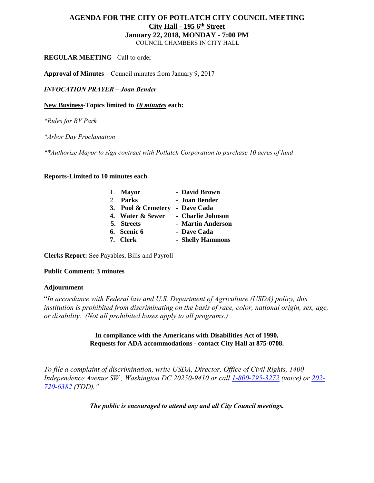# **AGENDA FOR THE CITY OF POTLATCH CITY COUNCIL MEETING City Hall - 195 6th Street January 22, 2018, MONDAY - 7:00 PM** COUNCIL CHAMBERS IN CITY HALL

# **REGULAR MEETING -** Call to order

**Approval of Minutes** – Council minutes from January 9, 2017

*INVOCATION PRAYER – Joan Bender*

**New Business-Topics limited to** *10 minutes* **each:**

*\*Rules for RV Park*

*\*Arbor Day Proclamation*

*\*\*Authorize Mayor to sign contract with Potlatch Corporation to purchase 10 acres of land*

# **Reports-Limited to 10 minutes each**

| 1. Mayor           | - David Brown     |
|--------------------|-------------------|
| 2. Parks           | - Joan Bender     |
| 3. Pool & Cemetery | - Dave Cada       |
| 4. Water & Sewer   | - Charlie Johnson |
| 5. Streets         | - Martin Anderson |
| 6. Scenic 6        | - Dave Cada       |
| 7. Clerk           | - Shelly Hammons  |

**Clerks Report:** See Payables, Bills and Payroll

# **Public Comment: 3 minutes**

#### **Adjournment**

"*In accordance with Federal law and U.S. Department of Agriculture (USDA) policy, this institution is prohibited from discriminating on the basis of race, color, national origin, sex, age, or disability. (Not all prohibited bases apply to all programs.)*

> **In compliance with the Americans with Disabilities Act of 1990, Requests for ADA accommodations - contact City Hall at 875-0708.**

*To file a complaint of discrimination, write USDA, Director, Office of Civil Rights, 1400 Independence Avenue SW., Washington DC 20250-9410 or call [1-800-795-3272](http://www.cityofnezperce.com/1-800-795-3272) (voice) or [202-](http://www.cityofnezperce.com/202-720-6382) [720-6382](http://www.cityofnezperce.com/202-720-6382) (TDD)."*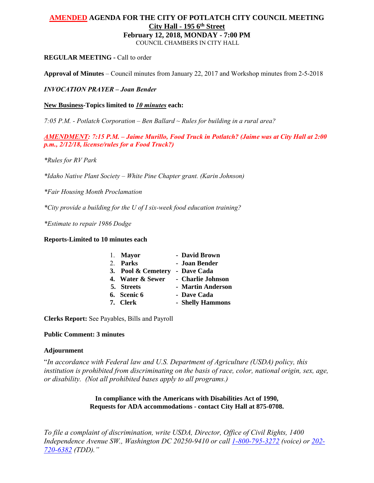# **AMENDED AGENDA FOR THE CITY OF POTLATCH CITY COUNCIL MEETING City Hall - 195 6th Street February 12, 2018, MONDAY - 7:00 PM**

COUNCIL CHAMBERS IN CITY HALL

# **REGULAR MEETING -** Call to order

**Approval of Minutes** – Council minutes from January 22, 2017 and Workshop minutes from 2-5-2018

*INVOCATION PRAYER – Joan Bender*

**New Business-Topics limited to** *10 minutes* **each:**

*7:05 P.M. - Potlatch Corporation – Ben Ballard ~ Rules for building in a rural area?*

*AMENDMENT: 7:15 P.M. – Jaime Murillo, Food Truck in Potlatch? (Jaime was at City Hall at 2:00 p.m., 2/12/18, license/rules for a Food Truck?)*

*\*Rules for RV Park*

*\*Idaho Native Plant Society – White Pine Chapter grant. (Karin Johnson)*

*\*Fair Housing Month Proclamation*

*\*City provide a building for the U of I six-week food education training?*

*\*Estimate to repair 1986 Dodge*

# **Reports-Limited to 10 minutes each**

|  | 1. Mayor           | - David Brown     |
|--|--------------------|-------------------|
|  | 2. Parks           | - Joan Bender     |
|  | 3. Pool & Cemetery | - Dave Cada       |
|  | 4. Water & Sewer   | - Charlie Johnson |
|  | 5. Streets         | - Martin Anderson |
|  | 6. Scenic 6        | - Dave Cada       |
|  | 7. Clerk           | - Shelly Hammons  |
|  |                    |                   |

**Clerks Report:** See Payables, Bills and Payroll

# **Public Comment: 3 minutes**

# **Adjournment**

"*In accordance with Federal law and U.S. Department of Agriculture (USDA) policy, this institution is prohibited from discriminating on the basis of race, color, national origin, sex, age, or disability. (Not all prohibited bases apply to all programs.)*

> **In compliance with the Americans with Disabilities Act of 1990, Requests for ADA accommodations - contact City Hall at 875-0708.**

*To file a complaint of discrimination, write USDA, Director, Office of Civil Rights, 1400 Independence Avenue SW., Washington DC 20250-9410 or call [1-800-795-3272](http://www.cityofnezperce.com/1-800-795-3272) (voice) or [202-](http://www.cityofnezperce.com/202-720-6382) [720-6382](http://www.cityofnezperce.com/202-720-6382) (TDD)."*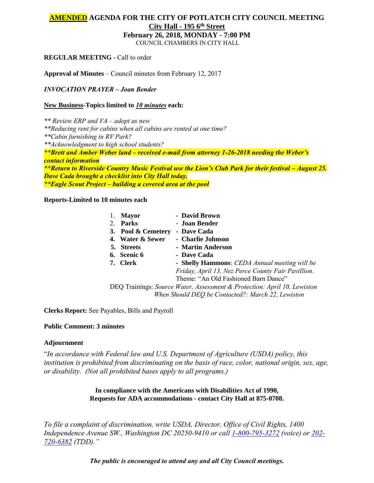# **AMENDED AGENDA FOR THE CITY OF POTLATCH CITY COUNCIL MEETING City Hall - 195 6th Street**

**February 26, 2018, MONDAY - 7:00 PM**

COUNCIL CHAMBERS IN CITY HALL

**REGULAR MEETING -** Call to order

**Approval of Minutes** – Council minutes from February 12, 2017

*INVOCATION PRAYER – Joan Bender*

# **New Business-Topics limited to** *10 minutes* **each:**

*\*\* Review ERP and VA – adopt as new \*\*Reducing rent for cabins when all cabins are rented at one time? \*\*Cabin furnishing in RV Park? \*\*Acknowledgment to high school students? \*\*Brett and Amber Weber land – received e-mail from attorney 1-26-2018 needing the Weber's contact information \*\*Return to Riverside Country Music Festival use the Lion's Club Park for their festival – August 25. Dave Cada brought a checklist into City Hall today. \*\*Eagle Scout Project – building a covered area at the pool*

**Reports-Limited to 10 minutes each**

| <b>Mayor</b>       | - David Brown                                                            |
|--------------------|--------------------------------------------------------------------------|
| Parks              | - Joan Bender                                                            |
| 3. Pool & Cemetery | - Dave Cada                                                              |
| 4. Water & Sewer   | - Charlie Johnson                                                        |
| 5. Streets         | - Martin Anderson                                                        |
| 6. Scenic 6        | - Dave Cada                                                              |
| 7. Clerk           | - Shelly Hammons: CEDA Annual meeting will be                            |
|                    | Friday, April 13, Nez Perce County Fair Pavillion.                       |
|                    | Theme: "An Old Fashioned Barn Dance"                                     |
|                    | DEQ Trainings: Source Water, Assessment & Protection: April 10, Lewiston |
|                    | When Should DEO be Contacted?: March 22, Lewiston                        |
|                    |                                                                          |

**Clerks Report:** See Payables, Bills and Payroll

# **Public Comment: 3 minutes**

# **Adjournment**

"*In accordance with Federal law and U.S. Department of Agriculture (USDA) policy, this institution is prohibited from discriminating on the basis of race, color, national origin, sex, age, or disability. (Not all prohibited bases apply to all programs.)*

> **In compliance with the Americans with Disabilities Act of 1990, Requests for ADA accommodations - contact City Hall at 875-0708.**

*To file a complaint of discrimination, write USDA, Director, Office of Civil Rights, 1400 Independence Avenue SW., Washington DC 20250-9410 or call [1-800-795-3272](http://www.cityofnezperce.com/1-800-795-3272) (voice) or [202-](http://www.cityofnezperce.com/202-720-6382) [720-6382](http://www.cityofnezperce.com/202-720-6382) (TDD)."*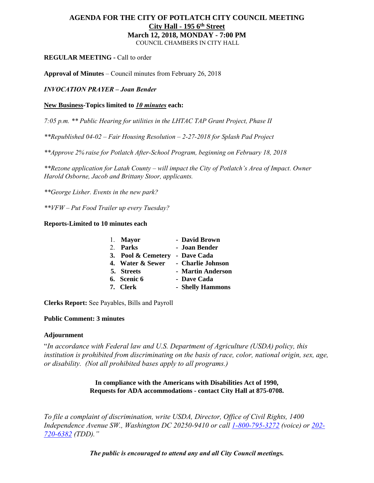# **AGENDA FOR THE CITY OF POTLATCH CITY COUNCIL MEETING City Hall - 195 6th Street March 12, 2018, MONDAY - 7:00 PM**

COUNCIL CHAMBERS IN CITY HALL

# **REGULAR MEETING -** Call to order

**Approval of Minutes** – Council minutes from February 26, 2018

# *INVOCATION PRAYER – Joan Bender*

# **New Business-Topics limited to** *10 minutes* **each:**

*7:05 p.m. \*\* Public Hearing for utilities in the LHTAC TAP Grant Project, Phase II*

*\*\*Republished 04-02 – Fair Housing Resolution – 2-27-2018 for Splash Pad Project*

*\*\*Approve 2% raise for Potlatch After-School Program, beginning on February 18, 2018*

*\*\*Rezone application for Latah County – will impact the City of Potlatch's Area of Impact. Owner Harold Osborne, Jacob and Brittany Stoor, applicants.*

*\*\*George Lisher. Events in the new park?*

*\*\*VFW – Put Food Trailer up every Tuesday?*

# **Reports-Limited to 10 minutes each**

| 1. Mayor           | - David Brown     |
|--------------------|-------------------|
| 2. Parks           | - Joan Bender     |
| 3. Pool & Cemetery | - Dave Cada       |
| 4. Water & Sewer   | - Charlie Johnson |
| 5. Streets         | - Martin Anderson |
| 6. Scenic 6        | - Dave Cada       |
| 7. Clerk           | - Shelly Hammons  |

**Clerks Report:** See Payables, Bills and Payroll

# **Public Comment: 3 minutes**

# **Adjournment**

"*In accordance with Federal law and U.S. Department of Agriculture (USDA) policy, this institution is prohibited from discriminating on the basis of race, color, national origin, sex, age, or disability. (Not all prohibited bases apply to all programs.)*

> **In compliance with the Americans with Disabilities Act of 1990, Requests for ADA accommodations - contact City Hall at 875-0708.**

*To file a complaint of discrimination, write USDA, Director, Office of Civil Rights, 1400 Independence Avenue SW., Washington DC 20250-9410 or call [1-800-795-3272](http://www.cityofnezperce.com/1-800-795-3272) (voice) or [202-](http://www.cityofnezperce.com/202-720-6382) [720-6382](http://www.cityofnezperce.com/202-720-6382) (TDD)."*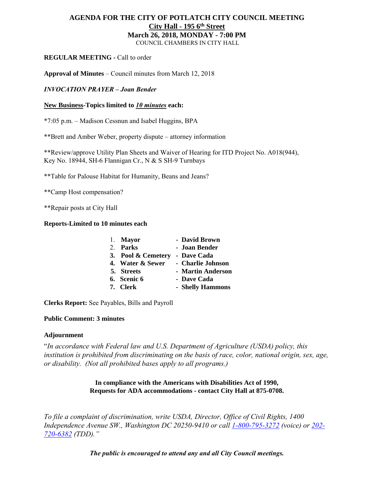# **AGENDA FOR THE CITY OF POTLATCH CITY COUNCIL MEETING City Hall - 195 6th Street March 26, 2018, MONDAY - 7:00 PM**

COUNCIL CHAMBERS IN CITY HALL

# **REGULAR MEETING -** Call to order

**Approval of Minutes** – Council minutes from March 12, 2018

*INVOCATION PRAYER – Joan Bender*

**New Business-Topics limited to** *10 minutes* **each:**

\*7:05 p.m. – Madison Cessnun and Isabel Huggins, BPA

\*\*Brett and Amber Weber, property dispute – attorney information

\*\*Review/approve Utility Plan Sheets and Waiver of Hearing for ITD Project No. A018(944), Key No. 18944, SH-6 Flannigan Cr., N & S SH-9 Turnbays

\*\*Table for Palouse Habitat for Humanity, Beans and Jeans?

\*\*Camp Host compensation?

\*\*Repair posts at City Hall

# **Reports-Limited to 10 minutes each**

| 1. Mayor           | - David Brown     |
|--------------------|-------------------|
| 2. Parks           | - Joan Bender     |
| 3. Pool & Cemetery | - Dave Cada       |
| 4. Water & Sewer   | - Charlie Johnson |
| 5. Streets         | - Martin Anderson |
| 6. Scenic 6        | - Dave Cada       |
| 7. Clerk           | - Shelly Hammons  |

**Clerks Report:** See Payables, Bills and Payroll

# **Public Comment: 3 minutes**

# **Adjournment**

"*In accordance with Federal law and U.S. Department of Agriculture (USDA) policy, this*  institution is prohibited from discriminating on the basis of race, color, national origin, sex, age, *or disability. (Not all prohibited bases apply to all programs.)*

> **In compliance with the Americans with Disabilities Act of 1990, Requests for ADA accommodations - contact City Hall at 875-0708.**

*To file a complaint of discrimination, write USDA, Director, Office of Civil Rights, 1400 Independence Avenue SW., Washington DC 20250-9410 or call [1-800-795-3272](http://www.cityofnezperce.com/1-800-795-3272) (voice) or [202-](http://www.cityofnezperce.com/202-720-6382) [720-6382](http://www.cityofnezperce.com/202-720-6382) (TDD)."*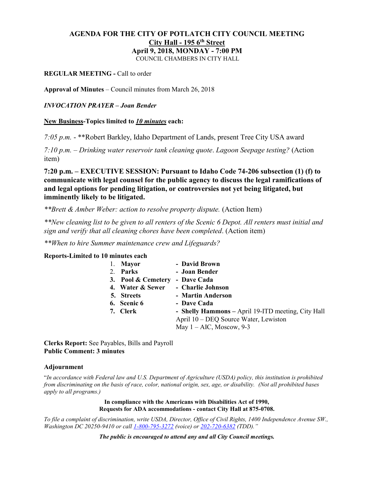# **AGENDA FOR THE CITY OF POTLATCH CITY COUNCIL MEETING City Hall - 195 6th Street April 9, 2018, MONDAY - 7:00 PM**

COUNCIL CHAMBERS IN CITY HALL

# **REGULAR MEETING -** Call to order

**Approval of Minutes** – Council minutes from March 26, 2018

# *INVOCATION PRAYER – Joan Bender*

## **New Business-Topics limited to** *10 minutes* **each:**

*7:05 p.m.* - \*\*Robert Barkley, Idaho Department of Lands, present Tree City USA award

*7:10 p.m. – Drinking water reservoir tank cleaning quote*. *Lagoon Seepage testing?* (Action item)

**7:20 p.m. – EXECUTIVE SESSION: Pursuant to Idaho Code 74-206 subsection (1) (f) to communicate with legal counsel for the public agency to discuss the legal ramifications of and legal options for pending litigation, or controversies not yet being litigated, but imminently likely to be litigated.**

*\*\*Brett & Amber Weber: action to resolve property dispute.* (Action Item)

*\*\*New cleaning list to be given to all renters of the Scenic 6 Depot. All renters must initial and sign and verify that all cleaning chores have been completed*. (Action item)

*\*\*When to hire Summer maintenance crew and Lifeguards?*

# **Reports-Limited to 10 minutes each**

| 1. Mayor           | - David Brown                                      |
|--------------------|----------------------------------------------------|
| 2. Parks           | - Joan Bender                                      |
| 3. Pool & Cemetery | - Dave Cada                                        |
| 4. Water & Sewer   | - Charlie Johnson                                  |
| 5. Streets         | - Martin Anderson                                  |
| 6. Scenic 6        | - Dave Cada                                        |
| 7. Clerk           | - Shelly Hammons - April 19-ITD meeting, City Hall |
|                    | April 10 – DEQ Source Water, Lewiston              |
|                    | May $1 - AIC$ , Moscow, 9-3                        |

**Clerks Report:** See Payables, Bills and Payroll **Public Comment: 3 minutes**

#### **Adjournment**

"*In accordance with Federal law and U.S. Department of Agriculture (USDA) policy, this institution is prohibited from discriminating on the basis of race, color, national origin, sex, age, or disability. (Not all prohibited bases apply to all programs.)*

> **In compliance with the Americans with Disabilities Act of 1990, Requests for ADA accommodations - contact City Hall at 875-0708.**

*To file a complaint of discrimination, write USDA, Director, Office of Civil Rights, 1400 Independence Avenue SW., Washington DC 20250-9410 or cal[l 1-800-795-3272](http://www.cityofnezperce.com/1-800-795-3272) (voice) or [202-720-6382](http://www.cityofnezperce.com/202-720-6382) (TDD)."*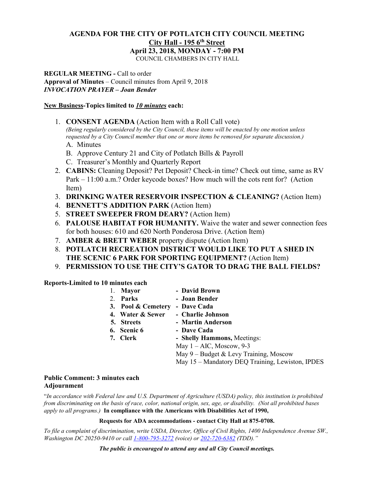# **AGENDA FOR THE CITY OF POTLATCH CITY COUNCIL MEETING City Hall - 195 6th Street April 23, 2018, MONDAY - 7:00 PM**

COUNCIL CHAMBERS IN CITY HALL

**REGULAR MEETING -** Call to order **Approval of Minutes** – Council minutes from April 9, 2018 *INVOCATION PRAYER – Joan Bender*

## **New Business-Topics limited to** *10 minutes* **each:**

1. **CONSENT AGENDA** (Action Item with a Roll Call vote)

*(Being regularly considered by the City Council, these items will be enacted by one motion unless requested by a City Council member that one or more items be removed for separate discussion.)*

- A. Minutes
- B. Approve Century 21 and City of Potlatch Bills & Payroll
- C. Treasurer's Monthly and Quarterly Report
- 2. **CABINS:** Cleaning Deposit? Pet Deposit? Check-in time? Check out time, same as RV Park – 11:00 a.m.? Order keycode boxes? How much will the cots rent for? (Action Item)
- 3. **DRINKING WATER RESERVOIR INSPECTION & CLEANING?** (Action Item)
- 4. **BENNETT'S ADDITION PARK** (Action Item)
- 5. **STREET SWEEPER FROM DEARY?** (Action Item)
- 6. **PALOUSE HABITAT FOR HUMANITY.** Waive the water and sewer connection fees for both houses: 610 and 620 North Ponderosa Drive. (Action Item)
- 7. **AMBER & BRETT WEBER** property dispute (Action Item)
- 8. **POTLATCH RECREATION DISTRICT WOULD LIKE TO PUT A SHED IN THE SCENIC 6 PARK FOR SPORTING EQUIPMENT?** (Action Item)
- 9. **PERMISSION TO USE THE CITY'S GATOR TO DRAG THE BALL FIELDS?**

**Reports-Limited to 10 minutes each**

| <b>Mayor</b>       | - David Brown                                    |
|--------------------|--------------------------------------------------|
| 2. Parks           | - Joan Bender                                    |
| 3. Pool & Cemetery | - Dave Cada                                      |
| 4. Water & Sewer   | - Charlie Johnson                                |
| 5. Streets         | - Martin Anderson                                |
| 6. Scenic 6        | - Dave Cada                                      |
| 7. Clerk           | - Shelly Hammons, Meetings:                      |
|                    | May $1 - AIC$ , Moscow, 9-3                      |
|                    | May 9 – Budget & Levy Training, Moscow           |
|                    | May 15 - Mandatory DEQ Training, Lewiston, IPDES |

# **Public Comment: 3 minutes each Adjournment**

"*In accordance with Federal law and U.S. Department of Agriculture (USDA) policy, this institution is prohibited from discriminating on the basis of race, color, national origin, sex, age, or disability. (Not all prohibited bases apply to all programs.)* **In compliance with the Americans with Disabilities Act of 1990,**

#### **Requests for ADA accommodations - contact City Hall at 875-0708.**

*To file a complaint of discrimination, write USDA, Director, Office of Civil Rights, 1400 Independence Avenue SW., Washington DC 20250-9410 or cal[l 1-800-795-3272](http://www.cityofnezperce.com/1-800-795-3272) (voice) or [202-720-6382](http://www.cityofnezperce.com/202-720-6382) (TDD)."*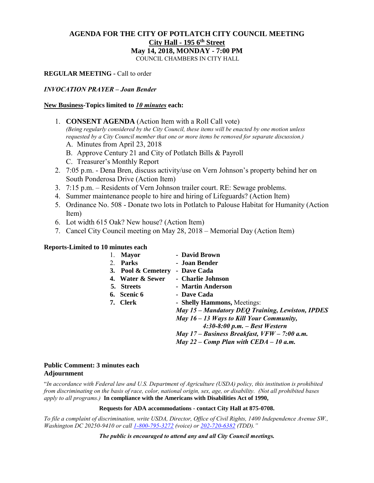# **AGENDA FOR THE CITY OF POTLATCH CITY COUNCIL MEETING City Hall - 195 6th Street May 14, 2018, MONDAY - 7:00 PM**

COUNCIL CHAMBERS IN CITY HALL

## **REGULAR MEETING -** Call to order

#### *INVOCATION PRAYER – Joan Bender*

#### **New Business-Topics limited to** *10 minutes* **each:**

- 1. **CONSENT AGENDA** (Action Item with a Roll Call vote) *(Being regularly considered by the City Council, these items will be enacted by one motion unless requested by a City Council member that one or more items be removed for separate discussion.)*
	- A. Minutes from April 23, 2018
	- B. Approve Century 21 and City of Potlatch Bills & Payroll
	- C. Treasurer's Monthly Report
- 2. 7:05 p.m. Dena Bren, discuss activity/use on Vern Johnson's property behind her on South Ponderosa Drive (Action Item)
- 3. 7:15 p.m. Residents of Vern Johnson trailer court. RE: Sewage problems.
- 4. Summer maintenance people to hire and hiring of Lifeguards? (Action Item)
- 5. Ordinance No. 508 Donate two lots in Potlatch to Palouse Habitat for Humanity (Action Item)
- 6. Lot width 615 Oak? New house? (Action Item)
- 7. Cancel City Council meeting on May 28, 2018 Memorial Day (Action Item)

#### **Reports-Limited to 10 minutes each**

|    | <b>Mayor</b>       | - David Brown                                    |
|----|--------------------|--------------------------------------------------|
| 2. | <b>Parks</b>       | - Joan Bender                                    |
|    | 3. Pool & Cemetery | - Dave Cada                                      |
|    | 4. Water & Sewer   | - Charlie Johnson                                |
|    | 5. Streets         | - Martin Anderson                                |
|    | 6. Scenic 6        | - Dave Cada                                      |
|    | 7. Clerk           | - Shelly Hammons, Meetings:                      |
|    |                    | May 15 – Mandatory DEQ Training, Lewiston, IPDES |
|    |                    | May $16 - 13$ Ways to Kill Your Community,       |
|    |                    | $4:30-8:00$ p.m. - Best Western                  |
|    |                    | May $17$ – Business Breakfast, $VFW - 7:00$ a.m. |
|    |                    | May 22 – Comp Plan with $CEDA - 10$ a.m.         |
|    |                    |                                                  |

## **Public Comment: 3 minutes each Adjournment**

"*In accordance with Federal law and U.S. Department of Agriculture (USDA) policy, this institution is prohibited from discriminating on the basis of race, color, national origin, sex, age, or disability. (Not all prohibited bases apply to all programs.)* **In compliance with the Americans with Disabilities Act of 1990,**

#### **Requests for ADA accommodations - contact City Hall at 875-0708.**

*To file a complaint of discrimination, write USDA, Director, Office of Civil Rights, 1400 Independence Avenue SW., Washington DC 20250-9410 or cal[l 1-800-795-3272](http://www.cityofnezperce.com/1-800-795-3272) (voice) or [202-720-6382](http://www.cityofnezperce.com/202-720-6382) (TDD)."*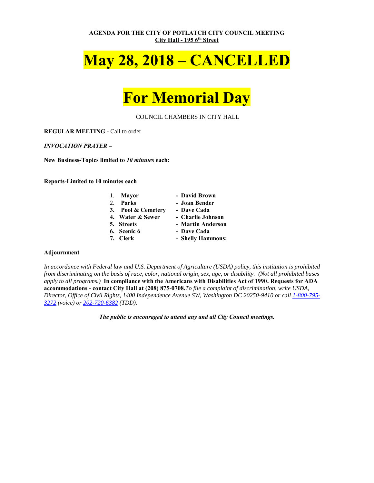**AGENDA FOR THE CITY OF POTLATCH CITY COUNCIL MEETING City Hall - 195 6th Street**

# **May 28, 2018 – CANCELLED**

# **For Memorial Day**

COUNCIL CHAMBERS IN CITY HALL

**REGULAR MEETING -** Call to order

*INVOCATION PRAYER –*

**New Business-Topics limited to** *10 minutes* **each:**

**Reports-Limited to 10 minutes each**

| 1. Mayor           | - David Brown     |
|--------------------|-------------------|
| 2. Parks           | - Joan Bender     |
| 3. Pool & Cemetery | - Dave Cada       |
| 4. Water & Sewer   | - Charlie Johnson |
| 5. Streets         | - Martin Anderson |

- -
	-
- **6. Scenic 6 Dave Cada**<br> **7. Cloub**
- **7. Clerk Shelly Hammons:**

#### **Adjournment**

*In accordance with Federal law and U.S. Department of Agriculture (USDA) policy, this institution is prohibited from discriminating on the basis of race, color, national origin, sex, age, or disability. (Not all prohibited bases apply to all programs.)* **In compliance with the Americans with Disabilities Act of 1990. Requests for ADA accommodations - contact City Hall at (208) 875-0708.***To file a complaint of discrimination, write USDA, Director, Office of Civil Rights, 1400 Independence Avenue SW, Washington DC 20250-9410 or call [1-800-795-](http://www.cityofnezperce.com/1-800-795-3272) [3272](http://www.cityofnezperce.com/1-800-795-3272) (voice) or [202-720-6382](http://www.cityofnezperce.com/202-720-6382) (TDD).*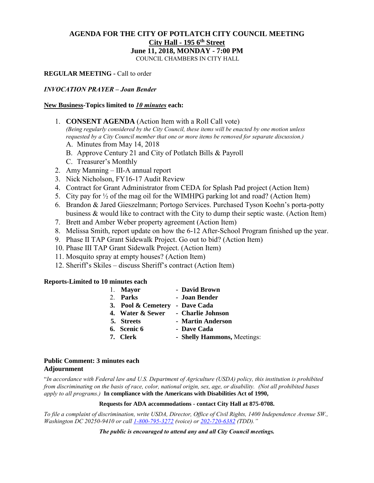# **AGENDA FOR THE CITY OF POTLATCH CITY COUNCIL MEETING City Hall - 195 6th Street June 11, 2018, MONDAY - 7:00 PM**

COUNCIL CHAMBERS IN CITY HALL

# **REGULAR MEETING -** Call to order

#### *INVOCATION PRAYER – Joan Bender*

#### **New Business-Topics limited to** *10 minutes* **each:**

1. **CONSENT AGENDA** (Action Item with a Roll Call vote)

*(Being regularly considered by the City Council, these items will be enacted by one motion unless requested by a City Council member that one or more items be removed for separate discussion.)*

- A. Minutes from May 14, 2018
- B. Approve Century 21 and City of Potlatch Bills & Payroll
- C. Treasurer's Monthly
- 2. Amy Manning III-A annual report
- 3. Nick Nicholson, FY16-17 Audit Review
- 4. Contract for Grant Administrator from CEDA for Splash Pad project (Action Item)
- 5. City pay for  $\frac{1}{2}$  of the mag oil for the WIMHPG parking lot and road? (Action Item)
- 6. Brandon & Jared Gieszelmann; Portogo Services. Purchased Tyson Koehn's porta-potty business & would like to contract with the City to dump their septic waste. (Action Item)
- 7. Brett and Amber Weber property agreement (Action Item)
- 8. Melissa Smith, report update on how the 6-12 After-School Program finished up the year.
- 9. Phase II TAP Grant Sidewalk Project. Go out to bid? (Action Item)
- 10. Phase III TAP Grant Sidewalk Project. (Action Item)
- 11. Mosquito spray at empty houses? (Action Item)
- 12. Sheriff's Skiles discuss Sheriff's contract (Action Item)

#### **Reports-Limited to 10 minutes each**

|  | 1. Mayor                       | - David Brown               |
|--|--------------------------------|-----------------------------|
|  | 2. Parks                       | - Joan Bender               |
|  | 3. Pool & Cemetery - Dave Cada |                             |
|  | 4. Water & Sewer               | - Charlie Johnson           |
|  | 5. Streets                     | - Martin Anderson           |
|  | 6. Scenic 6                    | - Dave Cada                 |
|  | 7. Clerk                       | - Shelly Hammons, Meetings: |

**Public Comment: 3 minutes each Adjournment**

"*In accordance with Federal law and U.S. Department of Agriculture (USDA) policy, this institution is prohibited from discriminating on the basis of race, color, national origin, sex, age, or disability. (Not all prohibited bases apply to all programs.)* **In compliance with the Americans with Disabilities Act of 1990,**

#### **Requests for ADA accommodations - contact City Hall at 875-0708.**

*To file a complaint of discrimination, write USDA, Director, Office of Civil Rights, 1400 Independence Avenue SW., Washington DC 20250-9410 or cal[l 1-800-795-3272](http://www.cityofnezperce.com/1-800-795-3272) (voice) or [202-720-6382](http://www.cityofnezperce.com/202-720-6382) (TDD)."*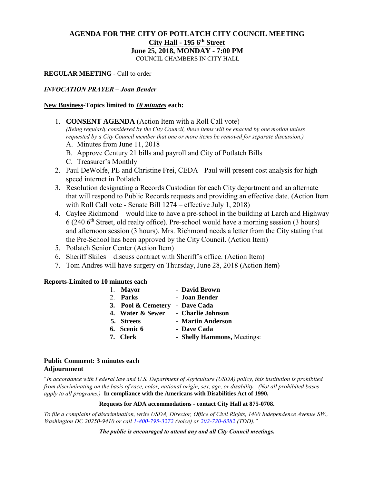# **AGENDA FOR THE CITY OF POTLATCH CITY COUNCIL MEETING City Hall - 195 6th Street June 25, 2018, MONDAY - 7:00 PM**

COUNCIL CHAMBERS IN CITY HALL

# **REGULAR MEETING -** Call to order

## *INVOCATION PRAYER – Joan Bender*

## **New Business-Topics limited to** *10 minutes* **each:**

1. **CONSENT AGENDA** (Action Item with a Roll Call vote)

*(Being regularly considered by the City Council, these items will be enacted by one motion unless requested by a City Council member that one or more items be removed for separate discussion.)*

- A. Minutes from June 11, 2018
- B. Approve Century 21 bills and payroll and City of Potlatch Bills
- C. Treasurer's Monthly
- 2. Paul DeWolfe, PE and Christine Frei, CEDA Paul will present cost analysis for highspeed internet in Potlatch.
- 3. Resolution designating a Records Custodian for each City department and an alternate that will respond to Public Records requests and providing an effective date. (Action Item with Roll Call vote - Senate Bill 1274 – effective July 1, 2018)
- 4. Caylee Richmond would like to have a pre-school in the building at Larch and Highway  $6$  (240  $6<sup>th</sup>$  Street, old realty office). Pre-school would have a morning session (3 hours) and afternoon session (3 hours). Mrs. Richmond needs a letter from the City stating that the Pre-School has been approved by the City Council. (Action Item)
- 5. Potlatch Senior Center (Action Item)
- 6. Sheriff Skiles discuss contract with Sheriff's office. (Action Item)
- 7. Tom Andres will have surgery on Thursday, June 28, 2018 (Action Item)

## **Reports-Limited to 10 minutes each**

|  | 1. Mayor           | - David Brown               |
|--|--------------------|-----------------------------|
|  | 2. Parks           | - Joan Bender               |
|  | 3. Pool & Cemetery | - Dave Cada                 |
|  | 4. Water & Sewer   | - Charlie Johnson           |
|  | 5. Streets         | - Martin Anderson           |
|  | 6. Scenic 6        | - Dave Cada                 |
|  | 7. Clerk           | - Shelly Hammons, Meetings: |

# **Public Comment: 3 minutes each Adjournment**

"*In accordance with Federal law and U.S. Department of Agriculture (USDA) policy, this institution is prohibited from discriminating on the basis of race, color, national origin, sex, age, or disability. (Not all prohibited bases apply to all programs.)* **In compliance with the Americans with Disabilities Act of 1990,**

#### **Requests for ADA accommodations - contact City Hall at 875-0708.**

*To file a complaint of discrimination, write USDA, Director, Office of Civil Rights, 1400 Independence Avenue SW., Washington DC 20250-9410 or cal[l 1-800-795-3272](http://www.cityofnezperce.com/1-800-795-3272) (voice) or [202-720-6382](http://www.cityofnezperce.com/202-720-6382) (TDD)."*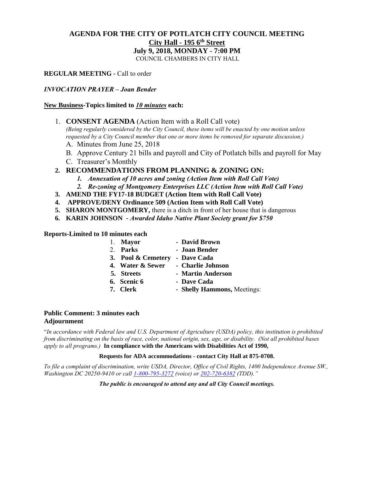# **AGENDA FOR THE CITY OF POTLATCH CITY COUNCIL MEETING City Hall - 195 6th Street July 9, 2018, MONDAY - 7:00 PM**

COUNCIL CHAMBERS IN CITY HALL

**REGULAR MEETING -** Call to order

## *INVOCATION PRAYER – Joan Bender*

# **New Business-Topics limited to** *10 minutes* **each:**

1. **CONSENT AGENDA** (Action Item with a Roll Call vote)

*(Being regularly considered by the City Council, these items will be enacted by one motion unless requested by a City Council member that one or more items be removed for separate discussion.)*

- A. Minutes from June 25, 2018
- B. Approve Century 21 bills and payroll and City of Potlatch bills and payroll for May
- C. Treasurer's Monthly
- **2. RECOMMENDATIONS FROM PLANNING & ZONING ON:**
	- *1. Annexation of 10 acres and zoning (Action Item with Roll Call Vote)*
	- *2. Re-zoning of Montgomery Enterprises LLC (Action Item with Roll Call Vote)*
- **3. AMEND THE FY17-18 BUDGET (Action Item with Roll Call Vote)**
- **4. APPROVE/DENY Ordinance 509 (Action Item with Roll Call Vote)**
- **5. SHARON MONTGOMERY,** there is a ditch in front of her house that is dangerous
- **6. KARIN JOHNSON -** *Awarded Idaho Native Plant Society grant for \$750*

**Reports-Limited to 10 minutes each**

|  | 1. Mayor           | - David Brown               |
|--|--------------------|-----------------------------|
|  | 2. Parks           | - Joan Bender               |
|  | 3. Pool & Cemetery | - Dave Cada                 |
|  | 4. Water & Sewer   | - Charlie Johnson           |
|  | 5. Streets         | - Martin Anderson           |
|  | 6. Scenic 6        | - Dave Cada                 |
|  | 7. Clerk           | - Shelly Hammons, Meetings: |
|  |                    |                             |

## **Public Comment: 3 minutes each Adjournment**

"*In accordance with Federal law and U.S. Department of Agriculture (USDA) policy, this institution is prohibited from discriminating on the basis of race, color, national origin, sex, age, or disability. (Not all prohibited bases apply to all programs.)* **In compliance with the Americans with Disabilities Act of 1990,**

#### **Requests for ADA accommodations - contact City Hall at 875-0708.**

*To file a complaint of discrimination, write USDA, Director, Office of Civil Rights, 1400 Independence Avenue SW., Washington DC 20250-9410 or cal[l 1-800-795-3272](http://www.cityofnezperce.com/1-800-795-3272) (voice) or [202-720-6382](http://www.cityofnezperce.com/202-720-6382) (TDD)."*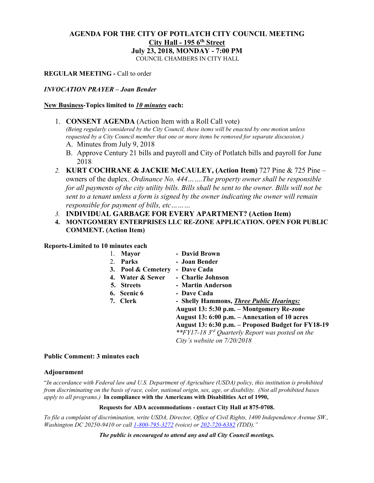# **AGENDA FOR THE CITY OF POTLATCH CITY COUNCIL MEETING City Hall - 195 6th Street July 23, 2018, MONDAY - 7:00 PM**

COUNCIL CHAMBERS IN CITY HALL

**REGULAR MEETING -** Call to order

# *INVOCATION PRAYER – Joan Bender*

#### **New Business-Topics limited to** *10 minutes* **each:**

1. **CONSENT AGENDA** (Action Item with a Roll Call vote)

*(Being regularly considered by the City Council, these items will be enacted by one motion unless requested by a City Council member that one or more items be removed for separate discussion.)*

- A. Minutes from July 9, 2018
- B. Approve Century 21 bills and payroll and City of Potlatch bills and payroll for June 2018
- *2.* **KURT COCHRANE & JACKIE McCAULEY, (Action Item)** 727 Pine & 725 Pine owners of the duplex. *Ordinance No. 444…….The property owner shall be responsible for all payments of the city utility bills. Bills shall be sent to the owner. Bills will not be sent to a tenant unless a form is signed by the owner indicating the owner will remain responsible for payment of bills, etc………*
- *3.* **INDIVIDUAL GARBAGE FOR EVERY APARTMENT? (Action Item)**
- **4. MONTGOMERY ENTERPRISES LLC RE-ZONE APPLICATION. OPEN FOR PUBLIC COMMENT. (Action Item)**

**Reports-Limited to 10 minutes each**

|    | <b>Mayor</b>       | - David Brown                                      |
|----|--------------------|----------------------------------------------------|
| 2. | Parks              | - Joan Bender                                      |
|    | 3. Pool & Cemetery | - Dave Cada                                        |
|    | 4. Water & Sewer   | - Charlie Johnson                                  |
|    | 5. Streets         | - Martin Anderson                                  |
|    | 6. Scenic 6        | - Dave Cada                                        |
|    | 7. Clerk           | - Shelly Hammons, <i>Three Public Hearings:</i>    |
|    |                    | August 13: 5:30 p.m. – Montgomery Re-zone          |
|    |                    | August 13: 6:00 p.m. – Annexation of 10 acres      |
|    |                    | August 13: 6:30 p.m. - Proposed Budget for FY18-19 |
|    |                    | **FY17-18 3rd Quarterly Report was posted on the   |
|    |                    | City's website on $7/20/2018$                      |
|    |                    |                                                    |

## **Public Comment: 3 minutes each**

#### **Adjournment**

"*In accordance with Federal law and U.S. Department of Agriculture (USDA) policy, this institution is prohibited from discriminating on the basis of race, color, national origin, sex, age, or disability. (Not all prohibited bases apply to all programs.)* **In compliance with the Americans with Disabilities Act of 1990,**

#### **Requests for ADA accommodations - contact City Hall at 875-0708.**

*To file a complaint of discrimination, write USDA, Director, Office of Civil Rights, 1400 Independence Avenue SW., Washington DC 20250-9410 or cal[l 1-800-795-3272](http://www.cityofnezperce.com/1-800-795-3272) (voice) or [202-720-6382](http://www.cityofnezperce.com/202-720-6382) (TDD)."*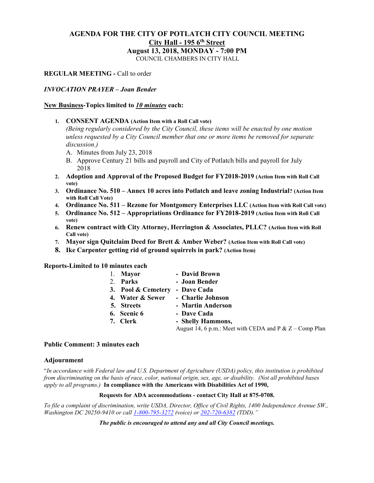# **AGENDA FOR THE CITY OF POTLATCH CITY COUNCIL MEETING City Hall - 195 6th Street August 13, 2018, MONDAY - 7:00 PM**

COUNCIL CHAMBERS IN CITY HALL

# **REGULAR MEETING -** Call to order

#### *INVOCATION PRAYER – Joan Bender*

#### **New Business-Topics limited to** *10 minutes* **each:**

**1. CONSENT AGENDA (Action Item with a Roll Call vote)**

*(Being regularly considered by the City Council, these items will be enacted by one motion unless requested by a City Council member that one or more items be removed for separate discussion.)*

- A. Minutes from July 23, 2018
- B. Approve Century 21 bills and payroll and City of Potlatch bills and payroll for July 2018*option and Approval of Fiscal Year 2018-2019 Proposed Budget*
- **2. Adoption and Approval of the Proposed Budget for FY2018-2019 (Action Item with Roll Call vote)**
- **3. Ordinance No. 510 – Annex 10 acres into Potlatch and leave zoning Industrial? (Action Item with Roll Call Vote)**
- **4. Ordinance No. 511 – Rezone for Montgomery Enterprises LLC (Action Item with Roll Call vote)**
- **5. Ordinance No. 512 – Appropriations Ordinance for FY2018-2019 (Action Item with Roll Call vote)**
- **6. Renew contract with City Attorney, Herrington & Associates, PLLC? (Action Item with Roll Call vote)**
- **7. Mayor sign Quitclaim Deed for Brett & Amber Weber? (Action Item with Roll Call vote)**
- **8. Ike Carpenter getting rid of ground squirrels in park? (Action Item)**

**Reports-Limited to 10 minutes each**

|  | 1. Mayor                       | - David Brown                                             |
|--|--------------------------------|-----------------------------------------------------------|
|  | 2. Parks                       | - Joan Bender                                             |
|  | 3. Pool & Cemetery - Dave Cada |                                                           |
|  | 4. Water & Sewer               | - Charlie Johnson                                         |
|  | 5. Streets                     | - Martin Anderson                                         |
|  | 6. Scenic 6                    | - Dave Cada                                               |
|  | 7. Clerk                       | - Shelly Hammons,                                         |
|  |                                | August 14, 6 p.m.: Meet with CEDA and P & $Z$ – Comp Plan |

#### **Public Comment: 3 minutes each**

#### **Adjournment**

"*In accordance with Federal law and U.S. Department of Agriculture (USDA) policy, this institution is prohibited from discriminating on the basis of race, color, national origin, sex, age, or disability. (Not all prohibited bases apply to all programs.)* **In compliance with the Americans with Disabilities Act of 1990,**

#### **Requests for ADA accommodations - contact City Hall at 875-0708.**

*To file a complaint of discrimination, write USDA, Director, Office of Civil Rights, 1400 Independence Avenue SW., Washington DC 20250-9410 or cal[l 1-800-795-3272](http://www.cityofnezperce.com/1-800-795-3272) (voice) or [202-720-6382](http://www.cityofnezperce.com/202-720-6382) (TDD)."*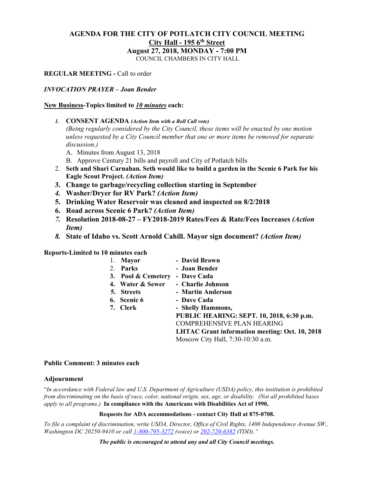# **AGENDA FOR THE CITY OF POTLATCH CITY COUNCIL MEETING City Hall - 195 6th Street August 27, 2018, MONDAY - 7:00 PM**

COUNCIL CHAMBERS IN CITY HALL

# **REGULAR MEETING -** Call to order

#### *INVOCATION PRAYER – Joan Bender*

#### **New Business-Topics limited to** *10 minutes* **each:**

*1.* **CONSENT AGENDA** *(Action Item with a Roll Call vote)*

*(Being regularly considered by the City Council, these items will be enacted by one motion unless requested by a City Council member that one or more items be removed for separate discussion.)*

- A. Minutes from August 13, 2018
- B. Approve Century 21 bills and payroll and City of Potlatch bills
- 2. **Seth and Shari Carnahan. Seth would like to build a garden in the Scenic 6 Park for his Eagle Scout Project.** *(Action Item)*
- **3. Change to garbage/recycling collection starting in September**
- *4.* **Washer/Dryer for RV Park?** *(Action Item)*
- **5. Drinking Water Reservoir was cleaned and inspected on 8/2/2018**
- **6. Road across Scenic 6 Park?** *(Action Item)*
- *7.* **Resolution 2018-08-27 – FY2018-2019 Rates/Fees & Rate/Fees Increases** *(Action Item)*
- *8.* **State of Idaho vs. Scott Arnold Cahill. Mayor sign document?** *(Action Item)*

**Reports-Limited to 10 minutes each**

| 1. | <b>Mayor</b>       | - David Brown                                         |
|----|--------------------|-------------------------------------------------------|
| 2. | Parks              | - Joan Bender                                         |
|    | 3. Pool & Cemetery | - Dave Cada                                           |
|    | 4. Water & Sewer   | - Charlie Johnson                                     |
|    | 5. Streets         | - Martin Anderson                                     |
|    | 6. Scenic 6        | - Dave Cada                                           |
|    | 7. Clerk           | - Shelly Hammons,                                     |
|    |                    | PUBLIC HEARING: SEPT. 10, 2018, 6:30 p.m.             |
|    |                    | <b>COMPREHENSIVE PLAN HEARING</b>                     |
|    |                    | <b>LHTAC Grant information meeting: Oct. 10, 2018</b> |
|    |                    | Moscow City Hall, 7:30-10:30 a.m.                     |
|    |                    |                                                       |

#### **Public Comment: 3 minutes each**

#### **Adjournment**

"*In accordance with Federal law and U.S. Department of Agriculture (USDA) policy, this institution is prohibited from discriminating on the basis of race, color, national origin, sex, age, or disability. (Not all prohibited bases apply to all programs.)* **In compliance with the Americans with Disabilities Act of 1990,**

#### **Requests for ADA accommodations - contact City Hall at 875-0708.**

*To file a complaint of discrimination, write USDA, Director, Office of Civil Rights, 1400 Independence Avenue SW., Washington DC 20250-9410 or cal[l 1-800-795-3272](http://www.cityofnezperce.com/1-800-795-3272) (voice) or [202-720-6382](http://www.cityofnezperce.com/202-720-6382) (TDD)."*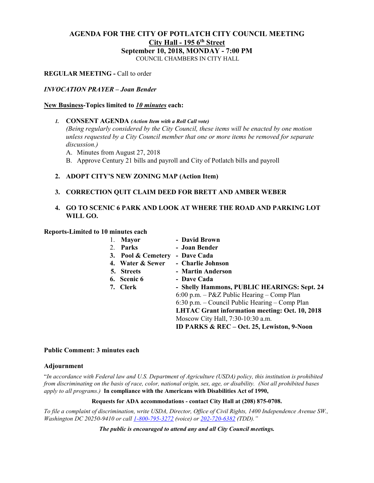# **AGENDA FOR THE CITY OF POTLATCH CITY COUNCIL MEETING City Hall - 195 6th Street September 10, 2018, MONDAY - 7:00 PM**

COUNCIL CHAMBERS IN CITY HALL

# **REGULAR MEETING -** Call to order

#### *INVOCATION PRAYER – Joan Bender*

#### **New Business-Topics limited to** *10 minutes* **each:**

*1.* **CONSENT AGENDA** *(Action Item with a Roll Call vote)*

*(Being regularly considered by the City Council, these items will be enacted by one motion unless requested by a City Council member that one or more items be removed for separate discussion.)*

- A. Minutes from August 27, 2018
- B. Approve Century 21 bills and payroll and City of Potlatch bills and payroll

# **2. ADOPT CITY'S NEW ZONING MAP (Action Item)**

## **3. CORRECTION QUIT CLAIM DEED FOR BRETT AND AMBER WEBER**

# **4. GO TO SCENIC 6 PARK AND LOOK AT WHERE THE ROAD AND PARKING LOT WILL GO.**

## **Reports-Limited to 10 minutes each**

| <b>Mayor</b>       | - David Brown                                         |
|--------------------|-------------------------------------------------------|
| 2. Parks           | - Joan Bender                                         |
| 3. Pool & Cemetery | - Dave Cada                                           |
| 4. Water & Sewer   | - Charlie Johnson                                     |
| 5. Streets         | - Martin Anderson                                     |
| 6. Scenic 6        | - Dave Cada                                           |
| 7. Clerk           | - Shelly Hammons, PUBLIC HEARINGS: Sept. 24           |
|                    | $6:00$ p.m. $-$ P&Z Public Hearing $-$ Comp Plan      |
|                    | 6:30 p.m. – Council Public Hearing – Comp Plan        |
|                    | <b>LHTAC Grant information meeting: Oct. 10, 2018</b> |
|                    | Moscow City Hall, 7:30-10:30 a.m.                     |
|                    | ID PARKS & REC - Oct. 25, Lewiston, 9-Noon            |

## **Public Comment: 3 minutes each**

#### **Adjournment**

"*In accordance with Federal law and U.S. Department of Agriculture (USDA) policy, this institution is prohibited from discriminating on the basis of race, color, national origin, sex, age, or disability. (Not all prohibited bases apply to all programs.)* **In compliance with the Americans with Disabilities Act of 1990,**

#### **Requests for ADA accommodations - contact City Hall at (208) 875-0708.**

*To file a complaint of discrimination, write USDA, Director, Office of Civil Rights, 1400 Independence Avenue SW., Washington DC 20250-9410 or cal[l 1-800-795-3272](http://www.cityofnezperce.com/1-800-795-3272) (voice) or [202-720-6382](http://www.cityofnezperce.com/202-720-6382) (TDD)."*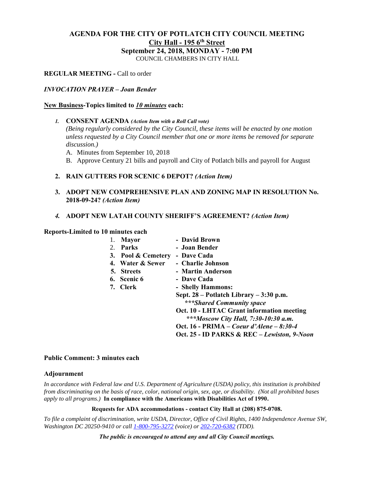# **AGENDA FOR THE CITY OF POTLATCH CITY COUNCIL MEETING City Hall - 195 6th Street September 24, 2018, MONDAY - 7:00 PM**

COUNCIL CHAMBERS IN CITY HALL

**REGULAR MEETING -** Call to order

## *INVOCATION PRAYER – Joan Bender*

#### **New Business-Topics limited to** *10 minutes* **each:**

*1.* **CONSENT AGENDA** *(Action Item with a Roll Call vote)*

*(Being regularly considered by the City Council, these items will be enacted by one motion unless requested by a City Council member that one or more items be removed for separate discussion.)*

- A. Minutes from September 10, 2018
- B. Approve Century 21 bills and payroll and City of Potlatch bills and payroll for August

# **2. RAIN GUTTERS FOR SCENIC 6 DEPOT?** *(Action Item)*

- **3. ADOPT NEW COMPREHENSIVE PLAN AND ZONING MAP IN RESOLUTION No. 2018-09-24?** *(Action Item)*
- *4.* **ADOPT NEW LATAH COUNTY SHERIFF'S AGREEMENT?** *(Action Item)*

## **Reports-Limited to 10 minutes each**

|    | <b>Mayor</b>       | - David Brown                               |
|----|--------------------|---------------------------------------------|
| 2. | Parks              | - Joan Bender                               |
|    | 3. Pool & Cemetery | - Dave Cada                                 |
|    | 4. Water & Sewer   | - Charlie Johnson                           |
|    | 5. Streets         | - Martin Anderson                           |
|    | 6. Scenic 6        | - Dave Cada                                 |
|    | 7. Clerk           | - Shelly Hammons:                           |
|    |                    | Sept. 28 – Potlatch Library – 3:30 p.m.     |
|    |                    | ***Shared Community space                   |
|    |                    | Oct. 10 - LHTAC Grant information meeting   |
|    |                    | ***Moscow City Hall, 7:30-10:30 a.m.        |
|    |                    | Oct. 16 - PRIMA – Coeur d'Alene – 8:30-4    |
|    |                    | Oct. 25 - ID PARKS & REC – Lewiston, 9-Noon |

#### **Public Comment: 3 minutes each**

#### **Adjournment**

*In accordance with Federal law and U.S. Department of Agriculture (USDA) policy, this institution is prohibited from discriminating on the basis of race, color, national origin, sex, age, or disability. (Not all prohibited bases apply to all programs.)* **In compliance with the Americans with Disabilities Act of 1990.**

#### **Requests for ADA accommodations - contact City Hall at (208) 875-0708.**

*To file a complaint of discrimination, write USDA, Director, Office of Civil Rights, 1400 Independence Avenue SW, Washington DC 20250-9410 or cal[l 1-800-795-3272](http://www.cityofnezperce.com/1-800-795-3272) (voice) or [202-720-6382](http://www.cityofnezperce.com/202-720-6382) (TDD).*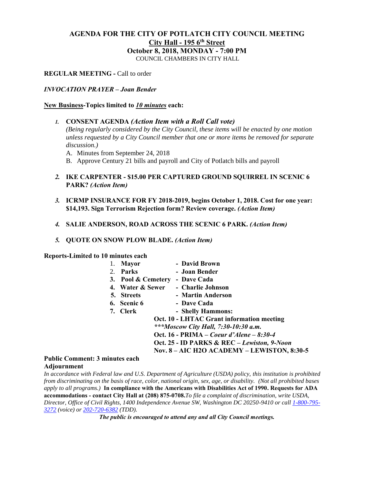# **AGENDA FOR THE CITY OF POTLATCH CITY COUNCIL MEETING City Hall - 195 6th Street October 8, 2018, MONDAY - 7:00 PM**

COUNCIL CHAMBERS IN CITY HALL

## **REGULAR MEETING -** Call to order

#### *INVOCATION PRAYER – Joan Bender*

#### **New Business-Topics limited to** *10 minutes* **each:**

- *1.* **CONSENT AGENDA** *(Action Item with a Roll Call vote) (Being regularly considered by the City Council, these items will be enacted by one motion unless requested by a City Council member that one or more items be removed for separate discussion.)*
	- A. Minutes from September 24, 2018
	- B. Approve Century 21 bills and payroll and City of Potlatch bills and payroll
- *2.* **IKE CARPENTER - \$15.00 PER CAPTURED GROUND SQUIRREL IN SCENIC 6 PARK?** *(Action Item)*
- *3.* **ICRMP INSURANCE FOR FY 2018-2019, begins October 1, 2018. Cost for one year: \$14,193. Sign Terrorism Rejection form? Review coverage.** *(Action Item)*
- *4.* **SALIE ANDERSON, ROAD ACROSS THE SCENIC 6 PARK.** *(Action Item)*
- *5.* **QUOTE ON SNOW PLOW BLADE.** *(Action Item)*

**Reports-Limited to 10 minutes each**

| 1. | <b>Mayor</b>       | - David Brown                               |
|----|--------------------|---------------------------------------------|
| 2. | <b>Parks</b>       | - Joan Bender                               |
|    | 3. Pool & Cemetery | - Dave Cada                                 |
|    | 4. Water & Sewer   | - Charlie Johnson                           |
|    | 5. Streets         | - Martin Anderson                           |
|    | 6. Scenic 6        | - Dave Cada                                 |
|    | 7. Clerk           | - Shelly Hammons:                           |
|    |                    | Oct. 10 - LHTAC Grant information meeting   |
|    |                    | ***Moscow City Hall, 7:30-10:30 a.m.        |
|    |                    | Oct. 16 - PRIMA – Coeur d'Alene – 8:30-4    |
|    |                    | Oct. 25 - ID PARKS & REC – Lewiston, 9-Noon |
|    |                    | Nov. 8 - AIC H2O ACADEMY - LEWISTON, 8:30-5 |
|    | minutes each       |                                             |

#### **Public Comment: 3 minutes each Adjournment**

*In accordance with Federal law and U.S. Department of Agriculture (USDA) policy, this institution is prohibited from discriminating on the basis of race, color, national origin, sex, age, or disability. (Not all prohibited bases apply to all programs.)* **In compliance with the Americans with Disabilities Act of 1990. Requests for ADA accommodations - contact City Hall at (208) 875-0708.***To file a complaint of discrimination, write USDA, Director, Office of Civil Rights, 1400 Independence Avenue SW, Washington DC 20250-9410 or call [1-800-795-](http://www.cityofnezperce.com/1-800-795-3272) [3272](http://www.cityofnezperce.com/1-800-795-3272) (voice) or [202-720-6382](http://www.cityofnezperce.com/202-720-6382) (TDD).*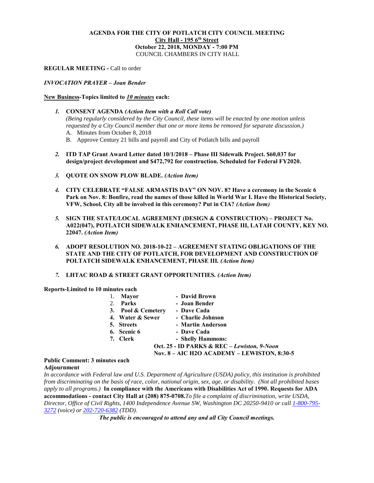#### **AGENDA FOR THE CITY OF POTLATCH CITY COUNCIL MEETING City Hall - 195 6th Street October 22, 2018, MONDAY - 7:00 PM** COUNCIL CHAMBERS IN CITY HALL

#### **REGULAR MEETING -** Call to order

#### *INVOCATION PRAYER – Joan Bender*

#### **New Business-Topics limited to** *10 minutes* **each:**

- *1.* **CONSENT AGENDA** *(Action Item with a Roll Call vote) (Being regularly considered by the City Council, these items will be enacted by one motion unless requested by a City Council member that one or more items be removed for separate discussion.)* A. Minutes from October 8, 2018
	- B. Approve Century 21 bills and payroll and City of Potlatch bills and payroll
- *2.* **ITD TAP Grant Award Letter dated 10/1/2018 – Phase III Sidewalk Project. \$60,037 for design/project development and \$472,792 for construction. Scheduled for Federal FY2020.**
- *3.* **QUOTE ON SNOW PLOW BLADE.** *(Action Item)*
- *4.* **CITY CELEBRATE "FALSE ARMASTIS DAY" ON NOV. 8? Have a ceremony in the Scenic 6 Park on Nov. 8: Bonfire, read the names of those killed in World War I. Have the Historical Society, VFW, School, City all be involved in this ceremony? Put in CIA?** *(Action Item)*
- *5.* **SIGN THE STATE/LOCAL AGREEMENT (DESIGN & CONSTRUCTION) – PROJECT No. A022(047), POTLATCH SIDEWALK ENHANCEMENT, PHASE III, LATAH COUNTY, KEY NO. 22047.** *(Action Item)*
- *6.* **ADOPT RESOLUTION NO. 2018-10-22 – AGREEMENT STATING OBLIGATIONS OF THE STATE AND THE CITY OF POTLATCH, FOR DEVELOPMENT AND CONSTRUCTION OF POLTATCH SIDEWALK ENHANCEMENT, PHASE III***. (Action Item)*
- *7.* **LHTAC ROAD & STREET GRANT OPPORTUNITIES***. (Action Item)*

**Reports-Limited to 10 minutes each**

| 1.           | <b>Mayor</b>       | - David Brown                               |
|--------------|--------------------|---------------------------------------------|
| 2.           | Parks              | - Joan Bender                               |
|              | 3. Pool & Cemetery | - Dave Cada                                 |
|              | 4. Water & Sewer   | - Charlie Johnson                           |
|              | 5. Streets         | - Martin Anderson                           |
|              | 6. Scenic 6        | - Dave Cada                                 |
|              | 7. Clerk           | - Shelly Hammons:                           |
|              |                    | Oct. 25 - ID PARKS & REC - Lewiston, 9-Noon |
|              |                    | Nov. 8 – AIC H2O ACADEMY – LEWISTON, 8:30-5 |
| duutoo oo ah |                    |                                             |

#### **Public Comment: 3 minutes each Adjournment**

*In accordance with Federal law and U.S. Department of Agriculture (USDA) policy, this institution is prohibited from discriminating on the basis of race, color, national origin, sex, age, or disability. (Not all prohibited bases apply to all programs.)* **In compliance with the Americans with Disabilities Act of 1990. Requests for ADA accommodations - contact City Hall at (208) 875-0708.***To file a complaint of discrimination, write USDA, Director, Office of Civil Rights, 1400 Independence Avenue SW, Washington DC 20250-9410 or call [1-800-795-](http://www.cityofnezperce.com/1-800-795-3272) [3272](http://www.cityofnezperce.com/1-800-795-3272) (voice) or [202-720-6382](http://www.cityofnezperce.com/202-720-6382) (TDD).*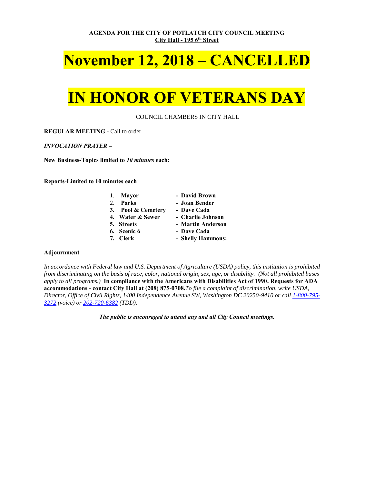**AGENDA FOR THE CITY OF POTLATCH CITY COUNCIL MEETING City Hall - 195 6th Street**

# **November 12, 2018 – CANCELLED**

# **IN HONOR OF VETERANS DAY**

COUNCIL CHAMBERS IN CITY HALL

**REGULAR MEETING -** Call to order

*INVOCATION PRAYER –*

**New Business-Topics limited to** *10 minutes* **each:**

**Reports-Limited to 10 minutes each**

|   | 1. Mayor | - David Brown |
|---|----------|---------------|
| - |          |               |

- 2. **Parks Joan Bender**
- **3. Pool & Cemetery Dave Cada**
- **4. Water & Sewer Charlie Johnson**
- **5. Streets Martin Anderson**
- -
- **6. Scenic 6 Dave Cada**
- **7. Clerk Shelly Hammons:**

#### **Adjournment**

*In accordance with Federal law and U.S. Department of Agriculture (USDA) policy, this institution is prohibited from discriminating on the basis of race, color, national origin, sex, age, or disability. (Not all prohibited bases apply to all programs.)* **In compliance with the Americans with Disabilities Act of 1990. Requests for ADA accommodations - contact City Hall at (208) 875-0708.***To file a complaint of discrimination, write USDA, Director, Office of Civil Rights, 1400 Independence Avenue SW, Washington DC 20250-9410 or call [1-800-795-](http://www.cityofnezperce.com/1-800-795-3272) [3272](http://www.cityofnezperce.com/1-800-795-3272) (voice) or [202-720-6382](http://www.cityofnezperce.com/202-720-6382) (TDD).*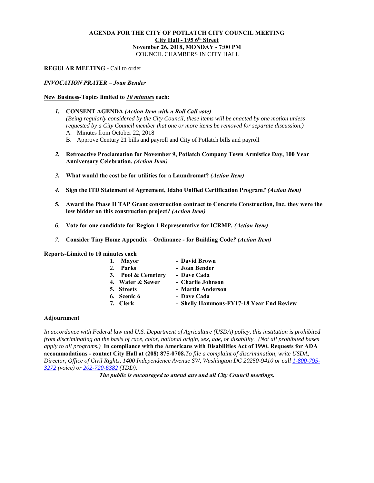#### **AGENDA FOR THE CITY OF POTLATCH CITY COUNCIL MEETING City Hall - 195 6th Street November 26, 2018, MONDAY - 7:00 PM** COUNCIL CHAMBERS IN CITY HALL

#### **REGULAR MEETING -** Call to order

#### *INVOCATION PRAYER – Joan Bender*

#### **New Business-Topics limited to** *10 minutes* **each:**

- *1.* **CONSENT AGENDA** *(Action Item with a Roll Call vote) (Being regularly considered by the City Council, these items will be enacted by one motion unless requested by a City Council member that one or more items be removed for separate discussion.)* A. Minutes from October 22, 2018
	- B. Approve Century 21 bills and payroll and City of Potlatch bills and payroll
- *2.* **Retroactive Proclamation for November 9, Potlatch Company Town Armistice Day, 100 Year Anniversary Celebration***. (Action Item)*
- *3.* **What would the cost be for utilities for a Laundromat?** *(Action Item)*
- *4.* **Sign the ITD Statement of Agreement, Idaho Unified Certification Program***? (Action Item)*
- **5. Award the Phase II TAP Grant construction contract to Concrete Construction, Inc. they were the low bidder on this construction project?** *(Action Item)*
- *6.* **Vote for one candidate for Region 1 Representative for ICRMP***. (Action Item)*
- *7.* **Consider Tiny Home Appendix – Ordinance - for Building Code***? (Action Item)*

**Reports-Limited to 10 minutes each**

|         | 1. Mayor           | - David Brown                            |
|---------|--------------------|------------------------------------------|
| $2^{1}$ | Parks              | - Joan Bender                            |
|         | 3. Pool & Cemetery | - Dave Cada                              |
|         | 4. Water & Sewer   | - Charlie Johnson                        |
|         | 5. Streets         | - Martin Anderson                        |
|         | 6. Scenic 6        | - Dave Cada                              |
|         | 7. Clerk           | - Shelly Hammons-FY17-18 Year End Review |
|         |                    |                                          |

#### **Adjournment**

*In accordance with Federal law and U.S. Department of Agriculture (USDA) policy, this institution is prohibited from discriminating on the basis of race, color, national origin, sex, age, or disability. (Not all prohibited bases apply to all programs.)* **In compliance with the Americans with Disabilities Act of 1990. Requests for ADA accommodations - contact City Hall at (208) 875-0708.***To file a complaint of discrimination, write USDA, Director, Office of Civil Rights, 1400 Independence Avenue SW, Washington DC 20250-9410 or call [1-800-795-](http://www.cityofnezperce.com/1-800-795-3272) [3272](http://www.cityofnezperce.com/1-800-795-3272) (voice) or [202-720-6382](http://www.cityofnezperce.com/202-720-6382) (TDD).*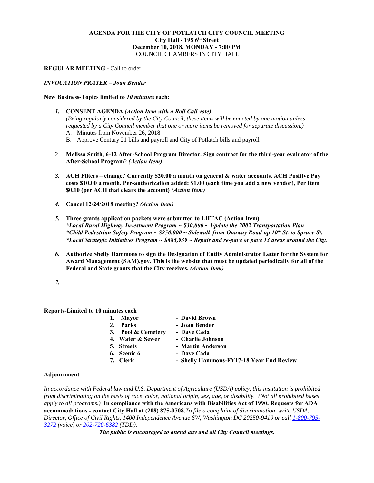#### **AGENDA FOR THE CITY OF POTLATCH CITY COUNCIL MEETING City Hall - 195 6th Street December 10, 2018, MONDAY - 7:00 PM** COUNCIL CHAMBERS IN CITY HALL

#### **REGULAR MEETING -** Call to order

#### *INVOCATION PRAYER – Joan Bender*

#### **New Business-Topics limited to** *10 minutes* **each:**

- *1.* **CONSENT AGENDA** *(Action Item with a Roll Call vote) (Being regularly considered by the City Council, these items will be enacted by one motion unless requested by a City Council member that one or more items be removed for separate discussion.)* A. Minutes from November 26, 2018
	- B. Approve Century 21 bills and payroll and City of Potlatch bills and payroll
- 2. **Melissa Smith, 6-12 After-School Program Director. Sign contract for the third-year evaluator of the After-School Program**? *(Action Item)*
- *3.* **ACH Filters – change? Currently \$20.00 a month on general & water accounts. ACH Positive Pay costs \$10.00 a month. Per-authorization added: \$1.00 (each time you add a new vendor), Per Item \$0.10 (per ACH that clears the account)** *(Action Item)*
- *4.* **Cancel 12/24/2018 meeting?** *(Action Item)*
- *5.* **Three grants application packets were submitted to LHTAC (Action Item)** *\*Local Rural Highway Investment Program ~ \$30,000 ~ Update the 2002 Transportation Plan \*Child Pedestrian Safety Program ~ \$250,000 ~ Sidewalk from Onaway Road up 10th St. to Spruce St. \*Local Strategic Initiatives Program ~ \$685,939 ~ Repair and re-pave or pave 13 areas around the City.*
- *6.* **Authorize Shelly Hammons to sign the Designation of Entity Administrator Letter for the System for Award Management (SAM).gov. This is the website that must be updated periodically for all of the Federal and State grants that the City receives***. (Action Item)*
- *7.*

#### **Reports-Limited to 10 minutes each**

| 1.      | Mayor              | - David Brown                            |
|---------|--------------------|------------------------------------------|
| $2_{1}$ | <b>Parks</b>       | - Joan Bender                            |
|         | 3. Pool & Cemetery | - Dave Cada                              |
|         | 4. Water & Sewer   | - Charlie Johnson                        |
|         | 5. Streets         | - Martin Anderson                        |
|         | 6. Scenic 6        | - Dave Cada                              |
|         | 7. Clerk           | - Shelly Hammons-FY17-18 Year End Review |
|         |                    |                                          |

#### **Adjournment**

*In accordance with Federal law and U.S. Department of Agriculture (USDA) policy, this institution is prohibited from discriminating on the basis of race, color, national origin, sex, age, or disability. (Not all prohibited bases apply to all programs.)* **In compliance with the Americans with Disabilities Act of 1990. Requests for ADA accommodations - contact City Hall at (208) 875-0708.***To file a complaint of discrimination, write USDA, Director, Office of Civil Rights, 1400 Independence Avenue SW, Washington DC 20250-9410 or call [1-800-795-](http://www.cityofnezperce.com/1-800-795-3272) [3272](http://www.cityofnezperce.com/1-800-795-3272) (voice) or [202-720-6382](http://www.cityofnezperce.com/202-720-6382) (TDD).*